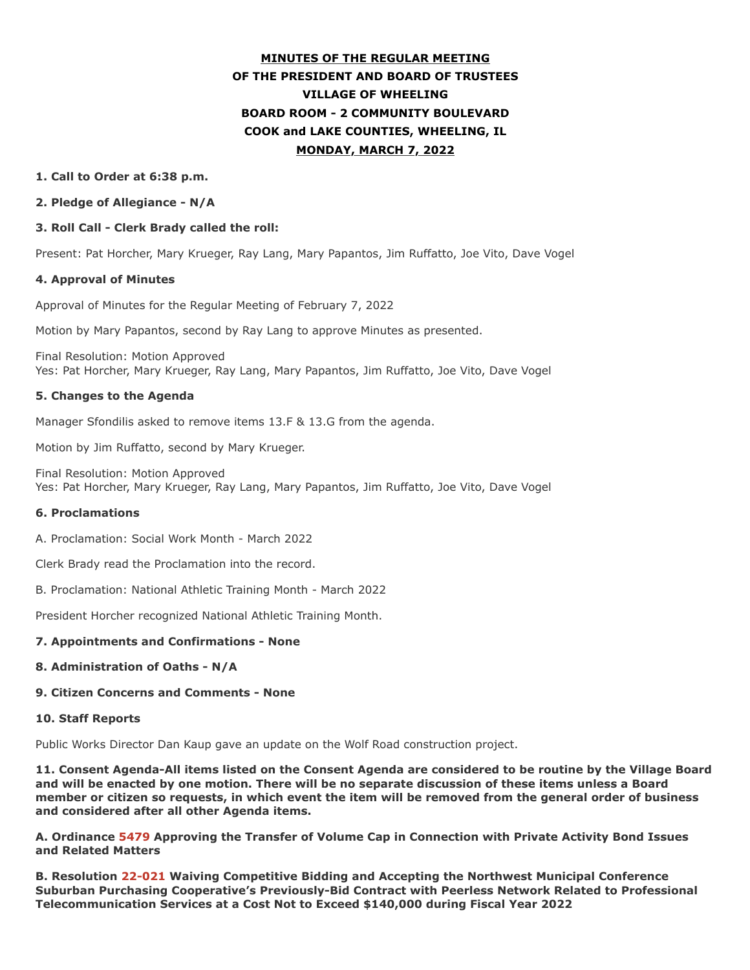# **MINUTES OF THE REGULAR MEETING OF THE PRESIDENT AND BOARD OF TRUSTEES VILLAGE OF WHEELING BOARD ROOM - 2 COMMUNITY BOULEVARD COOK and LAKE COUNTIES, WHEELING, IL MONDAY, MARCH 7, 2022**

#### **1. Call to Order at 6:38 p.m.**

#### **2. Pledge of Allegiance - N/A**

#### **3. Roll Call - Clerk Brady called the roll:**

Present: Pat Horcher, Mary Krueger, Ray Lang, Mary Papantos, Jim Ruffatto, Joe Vito, Dave Vogel

#### **4. Approval of Minutes**

Approval of Minutes for the Regular Meeting of February 7, 2022

Motion by Mary Papantos, second by Ray Lang to approve Minutes as presented.

Final Resolution: Motion Approved Yes: Pat Horcher, Mary Krueger, Ray Lang, Mary Papantos, Jim Ruffatto, Joe Vito, Dave Vogel

#### **5. Changes to the Agenda**

Manager Sfondilis asked to remove items 13.F & 13.G from the agenda.

Motion by Jim Ruffatto, second by Mary Krueger.

Final Resolution: Motion Approved Yes: Pat Horcher, Mary Krueger, Ray Lang, Mary Papantos, Jim Ruffatto, Joe Vito, Dave Vogel

#### **6. Proclamations**

A. Proclamation: Social Work Month - March 2022

Clerk Brady read the Proclamation into the record.

B. Proclamation: National Athletic Training Month - March 2022

President Horcher recognized National Athletic Training Month.

#### **7. Appointments and Confirmations - None**

#### **8. Administration of Oaths - N/A**

#### **9. Citizen Concerns and Comments - None**

#### **10. Staff Reports**

Public Works Director Dan Kaup gave an update on the Wolf Road construction project.

**11. Consent Agenda-All items listed on the Consent Agenda are considered to be routine by the Village Board and will be enacted by one motion. There will be no separate discussion of these items unless a Board member or citizen so requests, in which event the item will be removed from the general order of business and considered after all other Agenda items.**

**A. Ordinance 5479 Approving the Transfer of Volume Cap in Connection with Private Activity Bond Issues and Related Matters**

**B. Resolution 22-021 Waiving Competitive Bidding and Accepting the Northwest Municipal Conference Suburban Purchasing Cooperative's Previously-Bid Contract with Peerless Network Related to Professional Telecommunication Services at a Cost Not to Exceed \$140,000 during Fiscal Year 2022**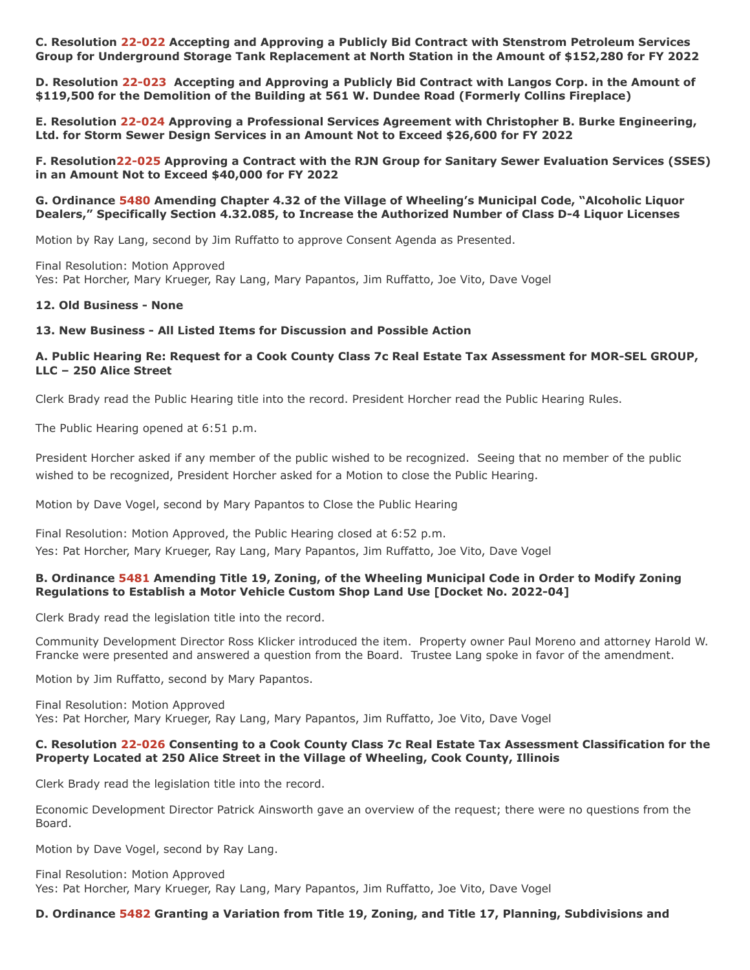**C. Resolution 22-022 Accepting and Approving a Publicly Bid Contract with Stenstrom Petroleum Services Group for Underground Storage Tank Replacement at North Station in the Amount of \$152,280 for FY 2022**

**D. Resolution 22-023 Accepting and Approving a Publicly Bid Contract with Langos Corp. in the Amount of \$119,500 for the Demolition of the Building at 561 W. Dundee Road (Formerly Collins Fireplace)**

**E. Resolution 22-024 Approving a Professional Services Agreement with Christopher B. Burke Engineering, Ltd. for Storm Sewer Design Services in an Amount Not to Exceed \$26,600 for FY 2022**

**F. Resolution22-025 Approving a Contract with the RJN Group for Sanitary Sewer Evaluation Services (SSES) in an Amount Not to Exceed \$40,000 for FY 2022**

**G. Ordinance 5480 Amending Chapter 4.32 of the Village of Wheeling's Municipal Code, "Alcoholic Liquor Dealers," Specifically Section 4.32.085, to Increase the Authorized Number of Class D-4 Liquor Licenses**

Motion by Ray Lang, second by Jim Ruffatto to approve Consent Agenda as Presented.

Final Resolution: Motion Approved Yes: Pat Horcher, Mary Krueger, Ray Lang, Mary Papantos, Jim Ruffatto, Joe Vito, Dave Vogel

#### **12. Old Business - None**

#### **13. New Business - All Listed Items for Discussion and Possible Action**

#### **A. Public Hearing Re: Request for a Cook County Class 7c Real Estate Tax Assessment for MOR-SEL GROUP, LLC – 250 Alice Street**

Clerk Brady read the Public Hearing title into the record. President Horcher read the Public Hearing Rules.

The Public Hearing opened at 6:51 p.m.

President Horcher asked if any member of the public wished to be recognized. Seeing that no member of the public wished to be recognized, President Horcher asked for a Motion to close the Public Hearing.

Motion by Dave Vogel, second by Mary Papantos to Close the Public Hearing

Final Resolution: Motion Approved, the Public Hearing closed at 6:52 p.m. Yes: Pat Horcher, Mary Krueger, Ray Lang, Mary Papantos, Jim Ruffatto, Joe Vito, Dave Vogel

#### **B. Ordinance 5481 Amending Title 19, Zoning, of the Wheeling Municipal Code in Order to Modify Zoning Regulations to Establish a Motor Vehicle Custom Shop Land Use [Docket No. 2022-04]**

Clerk Brady read the legislation title into the record.

Community Development Director Ross Klicker introduced the item. Property owner Paul Moreno and attorney Harold W. Francke were presented and answered a question from the Board. Trustee Lang spoke in favor of the amendment.

Motion by Jim Ruffatto, second by Mary Papantos.

Final Resolution: Motion Approved Yes: Pat Horcher, Mary Krueger, Ray Lang, Mary Papantos, Jim Ruffatto, Joe Vito, Dave Vogel

#### **C. Resolution 22-026 Consenting to a Cook County Class 7c Real Estate Tax Assessment Classification for the Property Located at 250 Alice Street in the Village of Wheeling, Cook County, Illinois**

Clerk Brady read the legislation title into the record.

Economic Development Director Patrick Ainsworth gave an overview of the request; there were no questions from the Board.

Motion by Dave Vogel, second by Ray Lang.

Final Resolution: Motion Approved Yes: Pat Horcher, Mary Krueger, Ray Lang, Mary Papantos, Jim Ruffatto, Joe Vito, Dave Vogel

#### **D. Ordinance 5482 Granting a Variation from Title 19, Zoning, and Title 17, Planning, Subdivisions and**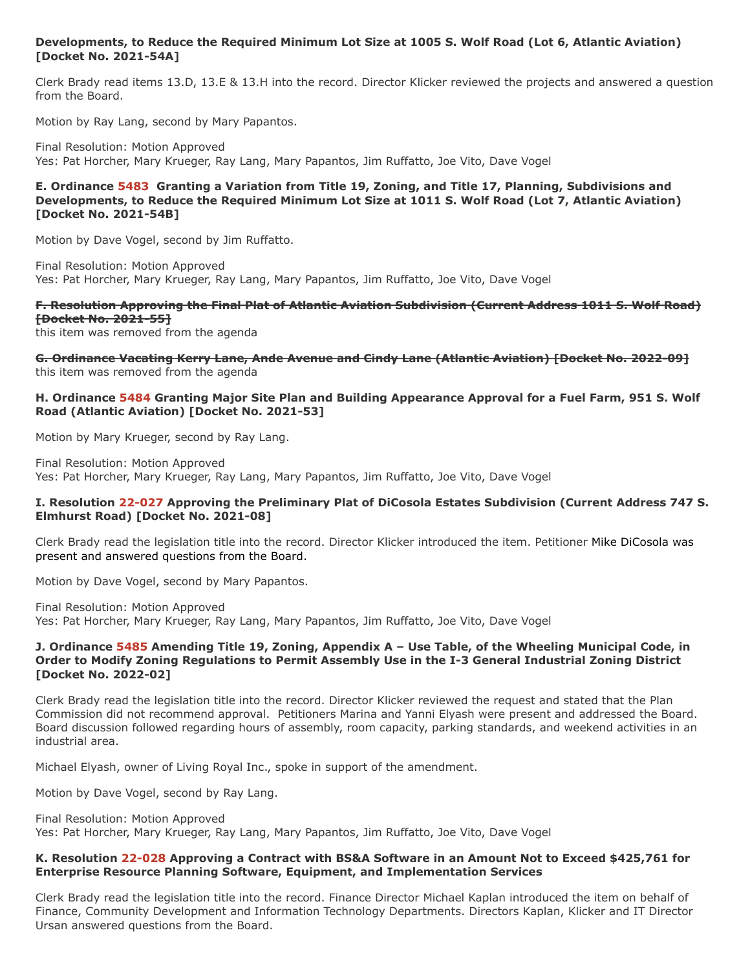#### **Developments, to Reduce the Required Minimum Lot Size at 1005 S. Wolf Road (Lot 6, Atlantic Aviation) [Docket No. 2021-54A]**

Clerk Brady read items 13.D, 13.E & 13.H into the record. Director Klicker reviewed the projects and answered a question from the Board.

Motion by Ray Lang, second by Mary Papantos.

Final Resolution: Motion Approved Yes: Pat Horcher, Mary Krueger, Ray Lang, Mary Papantos, Jim Ruffatto, Joe Vito, Dave Vogel

#### **E. Ordinance 5483 Granting a Variation from Title 19, Zoning, and Title 17, Planning, Subdivisions and Developments, to Reduce the Required Minimum Lot Size at 1011 S. Wolf Road (Lot 7, Atlantic Aviation) [Docket No. 2021-54B]**

Motion by Dave Vogel, second by Jim Ruffatto.

Final Resolution: Motion Approved Yes: Pat Horcher, Mary Krueger, Ray Lang, Mary Papantos, Jim Ruffatto, Joe Vito, Dave Vogel

## **F. Resolution Approving the Final Plat of Atlantic Aviation Subdivision (Current Address 1011 S. Wolf Road) [Docket No. 2021-55]**

this item was removed from the agenda

**G. Ordinance Vacating Kerry Lane, Ande Avenue and Cindy Lane (Atlantic Aviation) [Docket No. 2022-09]** this item was removed from the agenda

#### **H. Ordinance 5484 Granting Major Site Plan and Building Appearance Approval for a Fuel Farm, 951 S. Wolf Road (Atlantic Aviation) [Docket No. 2021-53]**

Motion by Mary Krueger, second by Ray Lang.

Final Resolution: Motion Approved Yes: Pat Horcher, Mary Krueger, Ray Lang, Mary Papantos, Jim Ruffatto, Joe Vito, Dave Vogel

#### **I. Resolution 22-027 Approving the Preliminary Plat of DiCosola Estates Subdivision (Current Address 747 S. Elmhurst Road) [Docket No. 2021-08]**

Clerk Brady read the legislation title into the record. Director Klicker introduced the item. Petitioner Mike DiCosola was present and answered questions from the Board.

Motion by Dave Vogel, second by Mary Papantos.

Final Resolution: Motion Approved Yes: Pat Horcher, Mary Krueger, Ray Lang, Mary Papantos, Jim Ruffatto, Joe Vito, Dave Vogel

#### **J. Ordinance 5485 Amending Title 19, Zoning, Appendix A – Use Table, of the Wheeling Municipal Code, in Order to Modify Zoning Regulations to Permit Assembly Use in the I-3 General Industrial Zoning District [Docket No. 2022-02]**

Clerk Brady read the legislation title into the record. Director Klicker reviewed the request and stated that the Plan Commission did not recommend approval. Petitioners Marina and Yanni Elyash were present and addressed the Board. Board discussion followed regarding hours of assembly, room capacity, parking standards, and weekend activities in an industrial area.

Michael Elyash, owner of Living Royal Inc., spoke in support of the amendment.

Motion by Dave Vogel, second by Ray Lang.

Final Resolution: Motion Approved Yes: Pat Horcher, Mary Krueger, Ray Lang, Mary Papantos, Jim Ruffatto, Joe Vito, Dave Vogel

## **K. Resolution 22-028 Approving a Contract with BS&A Software in an Amount Not to Exceed \$425,761 for Enterprise Resource Planning Software, Equipment, and Implementation Services**

Clerk Brady read the legislation title into the record. Finance Director Michael Kaplan introduced the item on behalf of Finance, Community Development and Information Technology Departments. Directors Kaplan, Klicker and IT Director Ursan answered questions from the Board.